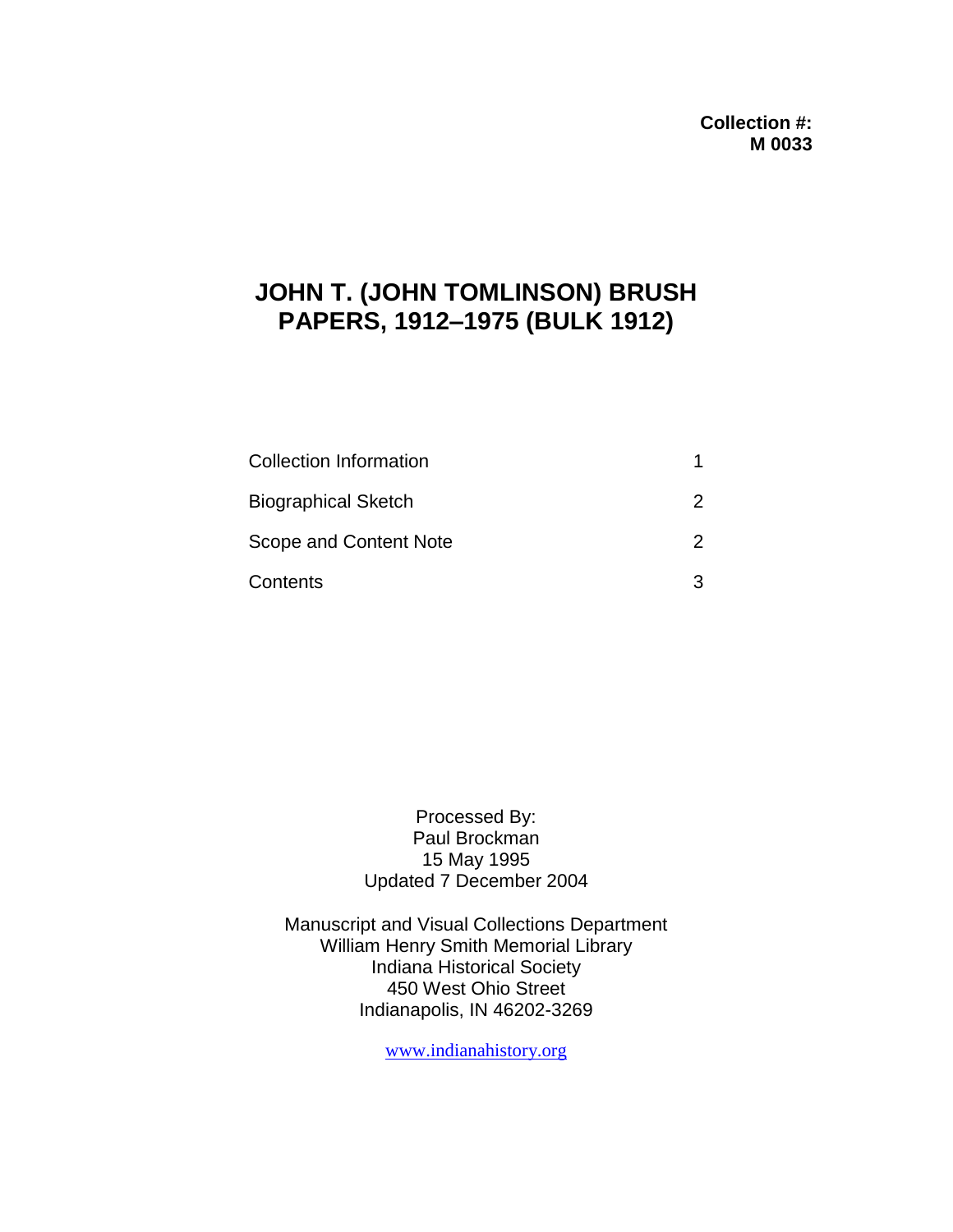# **JOHN T. (JOHN TOMLINSON) BRUSH PAPERS, 1912–1975 (BULK 1912)**

| <b>Collection Information</b> |   |
|-------------------------------|---|
| <b>Biographical Sketch</b>    |   |
| Scope and Content Note        |   |
| Contents                      | વ |

Processed By: Paul Brockman 15 May 1995 Updated 7 December 2004

Manuscript and Visual Collections Department William Henry Smith Memorial Library Indiana Historical Society 450 West Ohio Street Indianapolis, IN 46202-3269

[www.indianahistory.org](http://www.indianahistory.org/)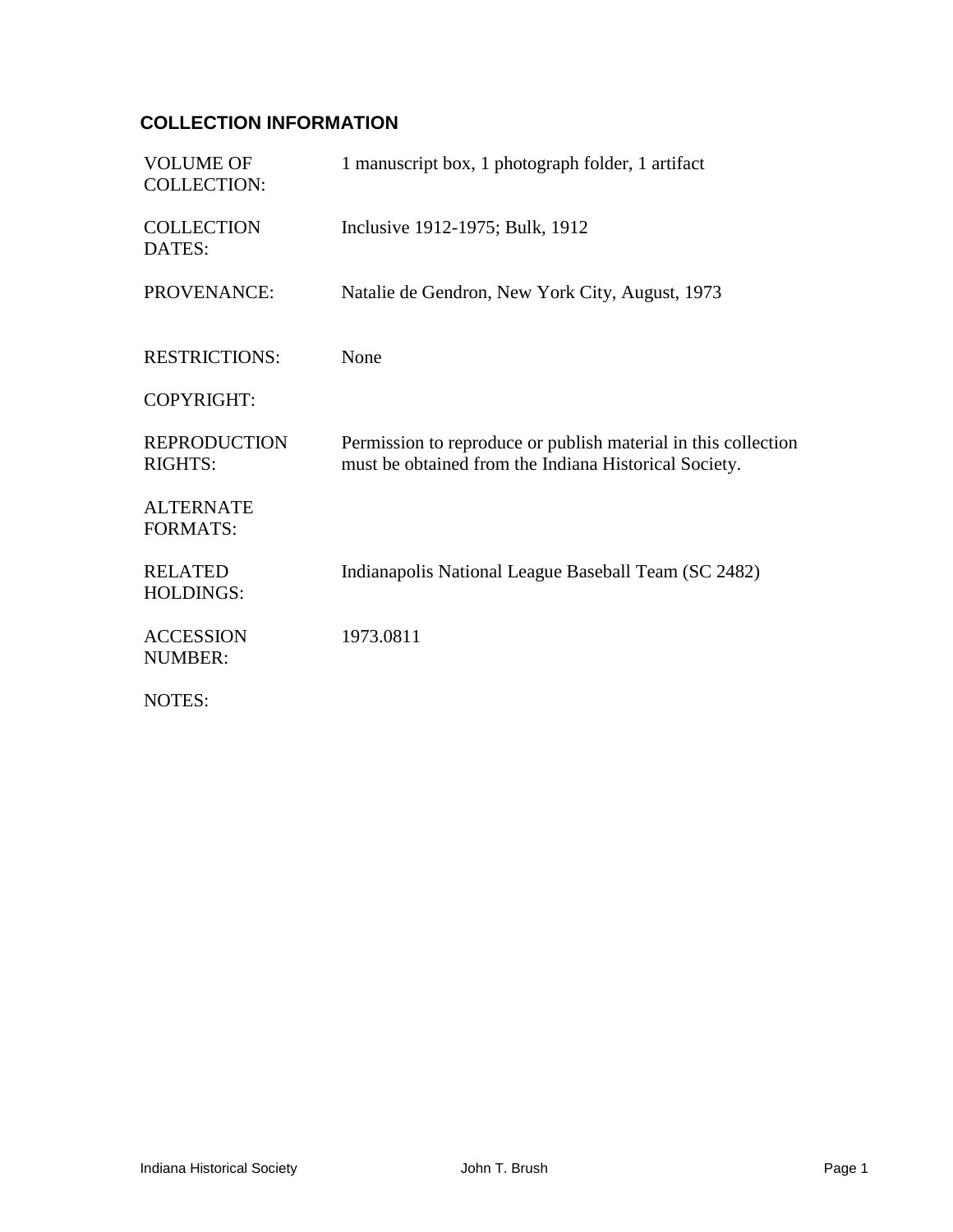## **COLLECTION INFORMATION**

| <b>VOLUME OF</b><br><b>COLLECTION:</b> | 1 manuscript box, 1 photograph folder, 1 artifact                                                                       |
|----------------------------------------|-------------------------------------------------------------------------------------------------------------------------|
| <b>COLLECTION</b><br>DATES:            | Inclusive 1912-1975; Bulk, 1912                                                                                         |
| PROVENANCE:                            | Natalie de Gendron, New York City, August, 1973                                                                         |
| <b>RESTRICTIONS:</b>                   | None                                                                                                                    |
| <b>COPYRIGHT:</b>                      |                                                                                                                         |
| <b>REPRODUCTION</b><br><b>RIGHTS:</b>  | Permission to reproduce or publish material in this collection<br>must be obtained from the Indiana Historical Society. |
| <b>ALTERNATE</b><br><b>FORMATS:</b>    |                                                                                                                         |
| <b>RELATED</b><br><b>HOLDINGS:</b>     | Indianapolis National League Baseball Team (SC 2482)                                                                    |
| <b>ACCESSION</b><br><b>NUMBER:</b>     | 1973.0811                                                                                                               |
| <b>NOTES:</b>                          |                                                                                                                         |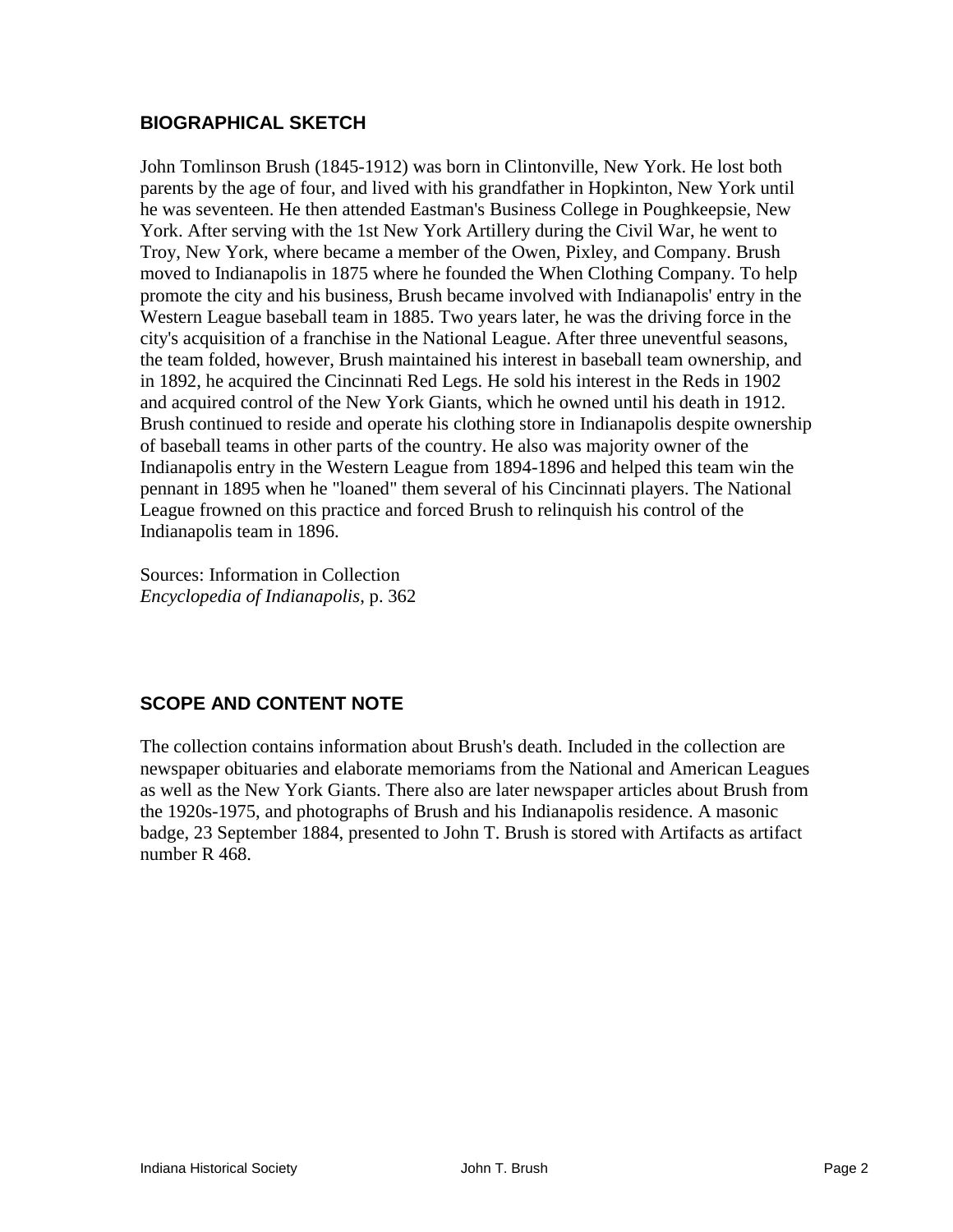#### **BIOGRAPHICAL SKETCH**

John Tomlinson Brush (1845-1912) was born in Clintonville, New York. He lost both parents by the age of four, and lived with his grandfather in Hopkinton, New York until he was seventeen. He then attended Eastman's Business College in Poughkeepsie, New York. After serving with the 1st New York Artillery during the Civil War, he went to Troy, New York, where became a member of the Owen, Pixley, and Company. Brush moved to Indianapolis in 1875 where he founded the When Clothing Company. To help promote the city and his business, Brush became involved with Indianapolis' entry in the Western League baseball team in 1885. Two years later, he was the driving force in the city's acquisition of a franchise in the National League. After three uneventful seasons, the team folded, however, Brush maintained his interest in baseball team ownership, and in 1892, he acquired the Cincinnati Red Legs. He sold his interest in the Reds in 1902 and acquired control of the New York Giants, which he owned until his death in 1912. Brush continued to reside and operate his clothing store in Indianapolis despite ownership of baseball teams in other parts of the country. He also was majority owner of the Indianapolis entry in the Western League from 1894-1896 and helped this team win the pennant in 1895 when he "loaned" them several of his Cincinnati players. The National League frowned on this practice and forced Brush to relinquish his control of the Indianapolis team in 1896.

Sources: Information in Collection *Encyclopedia of Indianapolis*, p. 362

### **SCOPE AND CONTENT NOTE**

The collection contains information about Brush's death. Included in the collection are newspaper obituaries and elaborate memoriams from the National and American Leagues as well as the New York Giants. There also are later newspaper articles about Brush from the 1920s-1975, and photographs of Brush and his Indianapolis residence. A masonic badge, 23 September 1884, presented to John T. Brush is stored with Artifacts as artifact number R 468.